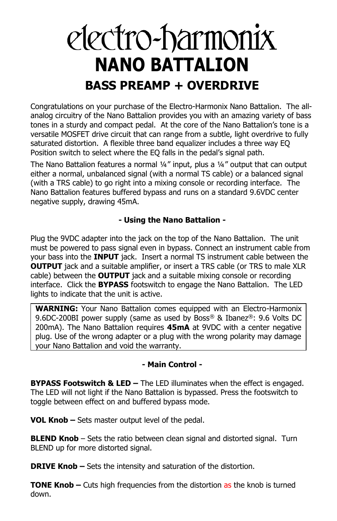# electro-harmonix **NANO BATTALION BASS PREAMP + OVERDRIVE**

Congratulations on your purchase of the Electro-Harmonix Nano Battalion. The allanalog circuitry of the Nano Battalion provides you with an amazing variety of bass tones in a sturdy and compact pedal. At the core of the Nano Battalion's tone is a versatile MOSFET drive circuit that can range from a subtle, light overdrive to fully saturated distortion. A flexible three band equalizer includes a three way EQ Position switch to select where the EQ falls in the pedal's signal path.

The Nano Battalion features a normal ¼" input, plus a ¼" output that can output either a normal, unbalanced signal (with a normal TS cable) or a balanced signal (with a TRS cable) to go right into a mixing console or recording interface. The Nano Battalion features buffered bypass and runs on a standard 9.6VDC center negative supply, drawing 45mA.

## **- Using the Nano Battalion -**

Plug the 9VDC adapter into the jack on the top of the Nano Battalion. The unit must be powered to pass signal even in bypass. Connect an instrument cable from your bass into the **INPUT** jack. Insert a normal TS instrument cable between the **OUTPUT** jack and a suitable amplifier, or insert a TRS cable (or TRS to male XLR cable) between the **OUTPUT** jack and a suitable mixing console or recording interface. Click the **BYPASS** footswitch to engage the Nano Battalion. The LED lights to indicate that the unit is active.

**WARNING:** Your Nano Battalion comes equipped with an Electro-Harmonix 9.6DC-200BI power supply (same as used by Boss® & Ibanez®: 9.6 Volts DC 200mA). The Nano Battalion requires **45mA** at 9VDC with a center negative plug. Use of the wrong adapter or a plug with the wrong polarity may damage your Nano Battalion and void the warranty.

## **- Main Control -**

**BYPASS Footswitch & LED –** The LED illuminates when the effect is engaged. The LED will not light if the Nano Battalion is bypassed. Press the footswitch to toggle between effect on and buffered bypass mode.

**VOL Knob –** Sets master output level of the pedal.

**BLEND Knob** – Sets the ratio between clean signal and distorted signal. Turn BLEND up for more distorted signal.

**DRIVE Knob –** Sets the intensity and saturation of the distortion.

**TONE Knob –** Cuts high frequencies from the distortion as the knob is turned down.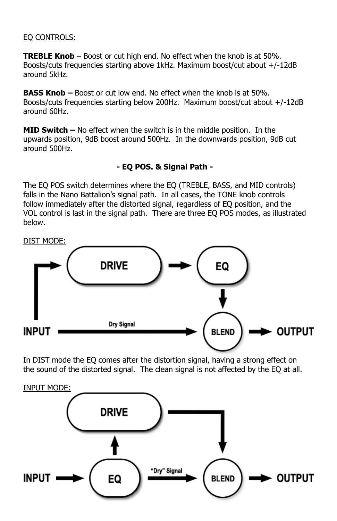### EQ CONTROLS:

**TREBLE Knob** – Boost or cut high end. No effect when the knob is at 50%. Boosts/cuts frequencies starting above 1kHz. Maximum boost/cut about +/-12dB around 5kHz.

**BASS Knob –** Boost or cut low end. No effect when the knob is at 50%. Boosts/cuts frequencies starting below 200Hz. Maximum boost/cut about +/-12dB around 60Hz.

**MID Switch –** No effect when the switch is in the middle position. In the upwards position, 9dB boost around 500Hz. In the downwards position, 9dB cut around 500Hz.

## **- EQ POS. & Signal Path -**

The EQ POS switch determines where the EQ (TREBLE, BASS, and MID controls) falls in the Nano Battalion's signal path. In all cases, the TONE knob controls follow immediately after the distorted signal, regardless of EQ position, and the VOL control is last in the signal path. There are three EQ POS modes, as illustrated below.



In DIST mode the EQ comes after the distortion signal, having a strong effect on the sound of the distorted signal. The clean signal is not affected by the EQ at all.

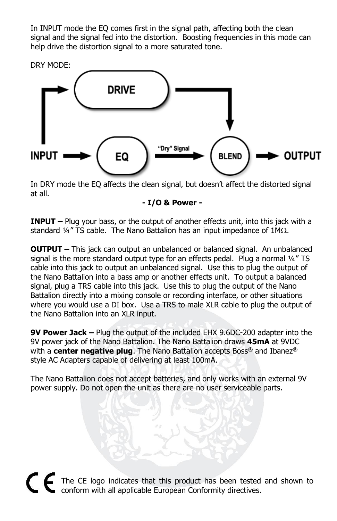In INPUT mode the EQ comes first in the signal path, affecting both the clean signal and the signal fed into the distortion. Boosting frequencies in this mode can help drive the distortion signal to a more saturated tone.



In DRY mode the EQ affects the clean signal, but doesn't affect the distorted signal at all.

#### **- I/O & Power -**

**INPUT** – Plug your bass, or the output of another effects unit, into this jack with a standard  $\frac{1}{4}$ " TS cable. The Nano Battalion has an input impedance of  $1M\Omega$ .

**OUTPUT –** This jack can output an unbalanced or balanced signal. An unbalanced signal is the more standard output type for an effects pedal. Plug a normal  $44$ " TS cable into this jack to output an unbalanced signal. Use this to plug the output of the Nano Battalion into a bass amp or another effects unit. To output a balanced signal, plug a TRS cable into this jack. Use this to plug the output of the Nano Battalion directly into a mixing console or recording interface, or other situations where you would use a DI box. Use a TRS to male XLR cable to plug the output of the Nano Battalion into an XLR input.

**9V Power Jack –** Plug the output of the included EHX 9.6DC-200 adapter into the 9V power jack of the Nano Battalion. The Nano Battalion draws **45mA** at 9VDC with a **center negative plug**. The Nano Battalion accepts Boss® and Ibanez® style AC Adapters capable of delivering at least 100mA.

The Nano Battalion does not accept batteries, and only works with an external 9V power supply. Do not open the unit as there are no user serviceable parts.

The CE logo indicates that this product has been tested and shown to conform with all applicable European Conformity directives.